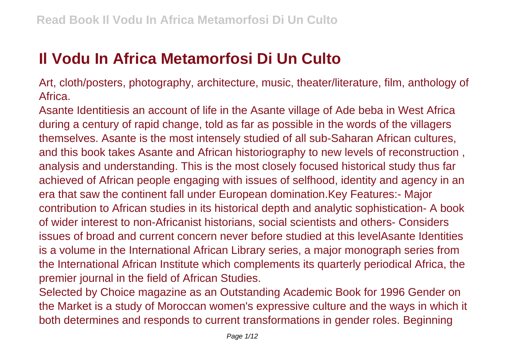## **Il Vodu In Africa Metamorfosi Di Un Culto**

Art, cloth/posters, photography, architecture, music, theater/literature, film, anthology of Africa.

Asante Identitiesis an account of life in the Asante village of Ade beba in West Africa during a century of rapid change, told as far as possible in the words of the villagers themselves. Asante is the most intensely studied of all sub-Saharan African cultures, and this book takes Asante and African historiography to new levels of reconstruction , analysis and understanding. This is the most closely focused historical study thus far achieved of African people engaging with issues of selfhood, identity and agency in an era that saw the continent fall under European domination.Key Features:- Major contribution to African studies in its historical depth and analytic sophistication- A book of wider interest to non-Africanist historians, social scientists and others- Considers issues of broad and current concern never before studied at this levelAsante Identities is a volume in the International African Library series, a major monograph series from the International African Institute which complements its quarterly periodical Africa, the premier journal in the field of African Studies.

Selected by Choice magazine as an Outstanding Academic Book for 1996 Gender on the Market is a study of Moroccan women's expressive culture and the ways in which it both determines and responds to current transformations in gender roles. Beginning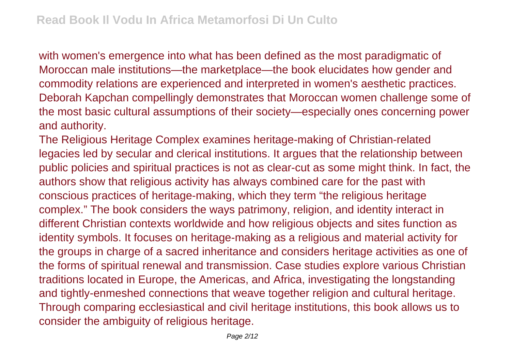with women's emergence into what has been defined as the most paradigmatic of Moroccan male institutions—the marketplace—the book elucidates how gender and commodity relations are experienced and interpreted in women's aesthetic practices. Deborah Kapchan compellingly demonstrates that Moroccan women challenge some of the most basic cultural assumptions of their society—especially ones concerning power and authority.

The Religious Heritage Complex examines heritage-making of Christian-related legacies led by secular and clerical institutions. It argues that the relationship between public policies and spiritual practices is not as clear-cut as some might think. In fact, the authors show that religious activity has always combined care for the past with conscious practices of heritage-making, which they term "the religious heritage complex." The book considers the ways patrimony, religion, and identity interact in different Christian contexts worldwide and how religious objects and sites function as identity symbols. It focuses on heritage-making as a religious and material activity for the groups in charge of a sacred inheritance and considers heritage activities as one of the forms of spiritual renewal and transmission. Case studies explore various Christian traditions located in Europe, the Americas, and Africa, investigating the longstanding and tightly-enmeshed connections that weave together religion and cultural heritage. Through comparing ecclesiastical and civil heritage institutions, this book allows us to consider the ambiguity of religious heritage.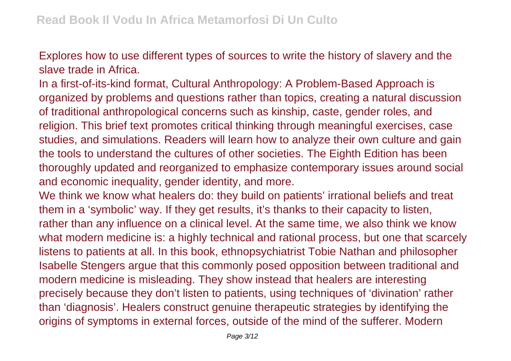Explores how to use different types of sources to write the history of slavery and the slave trade in Africa.

In a first-of-its-kind format, Cultural Anthropology: A Problem-Based Approach is organized by problems and questions rather than topics, creating a natural discussion of traditional anthropological concerns such as kinship, caste, gender roles, and religion. This brief text promotes critical thinking through meaningful exercises, case studies, and simulations. Readers will learn how to analyze their own culture and gain the tools to understand the cultures of other societies. The Eighth Edition has been thoroughly updated and reorganized to emphasize contemporary issues around social and economic inequality, gender identity, and more.

We think we know what healers do: they build on patients' irrational beliefs and treat them in a 'symbolic' way. If they get results, it's thanks to their capacity to listen, rather than any influence on a clinical level. At the same time, we also think we know what modern medicine is: a highly technical and rational process, but one that scarcely listens to patients at all. In this book, ethnopsychiatrist Tobie Nathan and philosopher Isabelle Stengers argue that this commonly posed opposition between traditional and modern medicine is misleading. They show instead that healers are interesting precisely because they don't listen to patients, using techniques of 'divination' rather than 'diagnosis'. Healers construct genuine therapeutic strategies by identifying the origins of symptoms in external forces, outside of the mind of the sufferer. Modern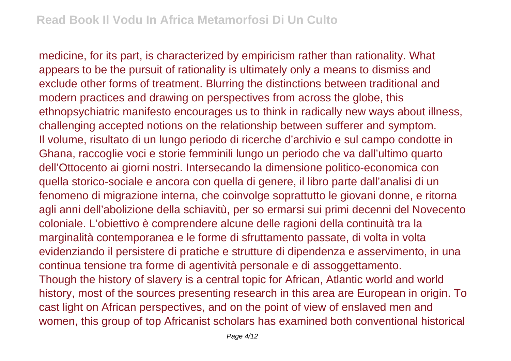medicine, for its part, is characterized by empiricism rather than rationality. What appears to be the pursuit of rationality is ultimately only a means to dismiss and exclude other forms of treatment. Blurring the distinctions between traditional and modern practices and drawing on perspectives from across the globe, this ethnopsychiatric manifesto encourages us to think in radically new ways about illness, challenging accepted notions on the relationship between sufferer and symptom. Il volume, risultato di un lungo periodo di ricerche d'archivio e sul campo condotte in Ghana, raccoglie voci e storie femminili lungo un periodo che va dall'ultimo quarto dell'Ottocento ai giorni nostri. Intersecando la dimensione politico-economica con quella storico-sociale e ancora con quella di genere, il libro parte dall'analisi di un fenomeno di migrazione interna, che coinvolge soprattutto le giovani donne, e ritorna agli anni dell'abolizione della schiavitù, per so ermarsi sui primi decenni del Novecento coloniale. L'obiettivo è comprendere alcune delle ragioni della continuità tra la marginalità contemporanea e le forme di sfruttamento passate, di volta in volta evidenziando il persistere di pratiche e strutture di dipendenza e asservimento, in una continua tensione tra forme di agentività personale e di assoggettamento. Though the history of slavery is a central topic for African, Atlantic world and world history, most of the sources presenting research in this area are European in origin. To cast light on African perspectives, and on the point of view of enslaved men and women, this group of top Africanist scholars has examined both conventional historical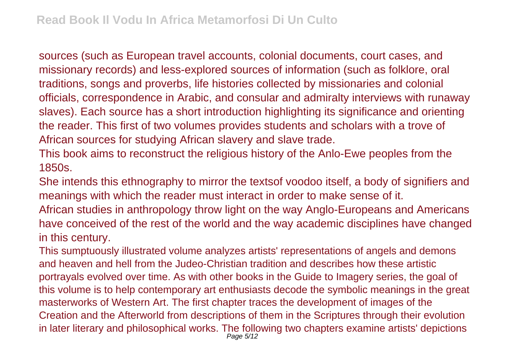sources (such as European travel accounts, colonial documents, court cases, and missionary records) and less-explored sources of information (such as folklore, oral traditions, songs and proverbs, life histories collected by missionaries and colonial officials, correspondence in Arabic, and consular and admiralty interviews with runaway slaves). Each source has a short introduction highlighting its significance and orienting the reader. This first of two volumes provides students and scholars with a trove of African sources for studying African slavery and slave trade.

This book aims to reconstruct the religious history of the Anlo-Ewe peoples from the 1850s.

She intends this ethnography to mirror the textsof voodoo itself, a body of signifiers and meanings with which the reader must interact in order to make sense of it.

African studies in anthropology throw light on the way Anglo-Europeans and Americans have conceived of the rest of the world and the way academic disciplines have changed in this century.

This sumptuously illustrated volume analyzes artists' representations of angels and demons and heaven and hell from the Judeo-Christian tradition and describes how these artistic portrayals evolved over time. As with other books in the Guide to Imagery series, the goal of this volume is to help contemporary art enthusiasts decode the symbolic meanings in the great masterworks of Western Art. The first chapter traces the development of images of the Creation and the Afterworld from descriptions of them in the Scriptures through their evolution in later literary and philosophical works. The following two chapters examine artists' depictions Page  $5/12$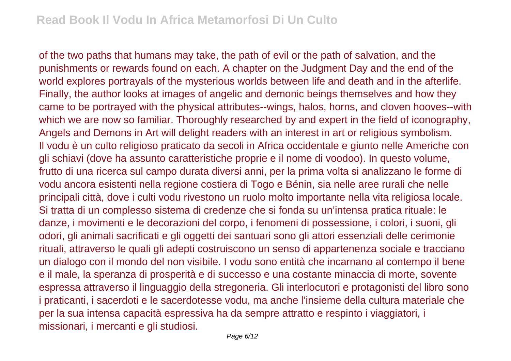of the two paths that humans may take, the path of evil or the path of salvation, and the punishments or rewards found on each. A chapter on the Judgment Day and the end of the world explores portrayals of the mysterious worlds between life and death and in the afterlife. Finally, the author looks at images of angelic and demonic beings themselves and how they came to be portrayed with the physical attributes--wings, halos, horns, and cloven hooves--with which we are now so familiar. Thoroughly researched by and expert in the field of iconography, Angels and Demons in Art will delight readers with an interest in art or religious symbolism. Il vodu è un culto religioso praticato da secoli in Africa occidentale e giunto nelle Americhe con gli schiavi (dove ha assunto caratteristiche proprie e il nome di voodoo). In questo volume, frutto di una ricerca sul campo durata diversi anni, per la prima volta si analizzano le forme di vodu ancora esistenti nella regione costiera di Togo e Bénin, sia nelle aree rurali che nelle principali città, dove i culti vodu rivestono un ruolo molto importante nella vita religiosa locale. Si tratta di un complesso sistema di credenze che si fonda su un'intensa pratica rituale: le danze, i movimenti e le decorazioni del corpo, i fenomeni di possessione, i colori, i suoni, gli odori, gli animali sacrificati e gli oggetti dei santuari sono gli attori essenziali delle cerimonie rituali, attraverso le quali gli adepti costruiscono un senso di appartenenza sociale e tracciano un dialogo con il mondo del non visibile. I vodu sono entità che incarnano al contempo il bene e il male, la speranza di prosperità e di successo e una costante minaccia di morte, sovente espressa attraverso il linguaggio della stregoneria. Gli interlocutori e protagonisti del libro sono i praticanti, i sacerdoti e le sacerdotesse vodu, ma anche l'insieme della cultura materiale che per la sua intensa capacità espressiva ha da sempre attratto e respinto i viaggiatori, i missionari, i mercanti e gli studiosi.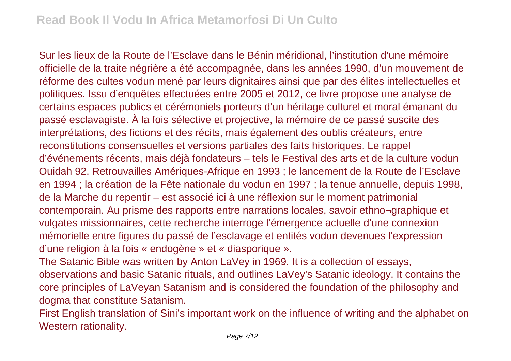Sur les lieux de la Route de l'Esclave dans le Bénin méridional, l'institution d'une mémoire officielle de la traite négrière a été accompagnée, dans les années 1990, d'un mouvement de réforme des cultes vodun mené par leurs dignitaires ainsi que par des élites intellectuelles et politiques. Issu d'enquêtes effectuées entre 2005 et 2012, ce livre propose une analyse de certains espaces publics et cérémoniels porteurs d'un héritage culturel et moral émanant du passé esclavagiste. À la fois sélective et projective, la mémoire de ce passé suscite des interprétations, des fictions et des récits, mais également des oublis créateurs, entre reconstitutions consensuelles et versions partiales des faits historiques. Le rappel d'événements récents, mais déjà fondateurs – tels le Festival des arts et de la culture vodun Ouidah 92. Retrouvailles Amériques-Afrique en 1993 ; le lancement de la Route de l'Esclave en 1994 ; la création de la Fête nationale du vodun en 1997 ; la tenue annuelle, depuis 1998, de la Marche du repentir – est associé ici à une réflexion sur le moment patrimonial contemporain. Au prisme des rapports entre narrations locales, savoir ethno¬graphique et vulgates missionnaires, cette recherche interroge l'émergence actuelle d'une connexion mémorielle entre figures du passé de l'esclavage et entités vodun devenues l'expression d'une religion à la fois « endogène » et « diasporique ».

The Satanic Bible was written by Anton LaVey in 1969. It is a collection of essays, observations and basic Satanic rituals, and outlines LaVey's Satanic ideology. It contains the core principles of LaVeyan Satanism and is considered the foundation of the philosophy and dogma that constitute Satanism.

First English translation of Sini's important work on the influence of writing and the alphabet on Western rationality.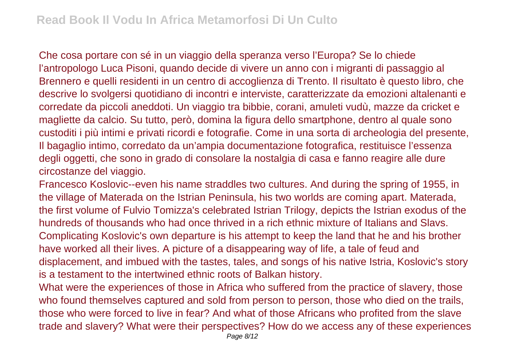Che cosa portare con sé in un viaggio della speranza verso l'Europa? Se lo chiede l'antropologo Luca Pisoni, quando decide di vivere un anno con i migranti di passaggio al Brennero e quelli residenti in un centro di accoglienza di Trento. Il risultato è questo libro, che descrive lo svolgersi quotidiano di incontri e interviste, caratterizzate da emozioni altalenanti e corredate da piccoli aneddoti. Un viaggio tra bibbie, corani, amuleti vudù, mazze da cricket e magliette da calcio. Su tutto, però, domina la figura dello smartphone, dentro al quale sono custoditi i più intimi e privati ricordi e fotografie. Come in una sorta di archeologia del presente, Il bagaglio intimo, corredato da un'ampia documentazione fotografica, restituisce l'essenza degli oggetti, che sono in grado di consolare la nostalgia di casa e fanno reagire alle dure circostanze del viaggio.

Francesco Koslovic--even his name straddles two cultures. And during the spring of 1955, in the village of Materada on the Istrian Peninsula, his two worlds are coming apart. Materada, the first volume of Fulvio Tomizza's celebrated Istrian Trilogy, depicts the Istrian exodus of the hundreds of thousands who had once thrived in a rich ethnic mixture of Italians and Slavs. Complicating Koslovic's own departure is his attempt to keep the land that he and his brother have worked all their lives. A picture of a disappearing way of life, a tale of feud and displacement, and imbued with the tastes, tales, and songs of his native Istria, Koslovic's story is a testament to the intertwined ethnic roots of Balkan history.

What were the experiences of those in Africa who suffered from the practice of slavery, those who found themselves captured and sold from person to person, those who died on the trails, those who were forced to live in fear? And what of those Africans who profited from the slave trade and slavery? What were their perspectives? How do we access any of these experiences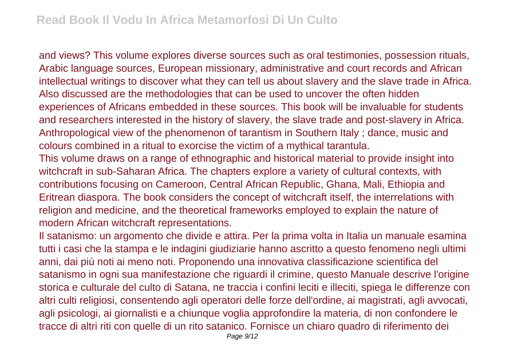and views? This volume explores diverse sources such as oral testimonies, possession rituals, Arabic language sources, European missionary, administrative and court records and African intellectual writings to discover what they can tell us about slavery and the slave trade in Africa. Also discussed are the methodologies that can be used to uncover the often hidden experiences of Africans embedded in these sources. This book will be invaluable for students and researchers interested in the history of slavery, the slave trade and post-slavery in Africa. Anthropological view of the phenomenon of tarantism in Southern Italy ; dance, music and colours combined in a ritual to exorcise the victim of a mythical tarantula.

This volume draws on a range of ethnographic and historical material to provide insight into witchcraft in sub-Saharan Africa. The chapters explore a variety of cultural contexts, with contributions focusing on Cameroon, Central African Republic, Ghana, Mali, Ethiopia and Eritrean diaspora. The book considers the concept of witchcraft itself, the interrelations with religion and medicine, and the theoretical frameworks employed to explain the nature of modern African witchcraft representations.

Il satanismo: un argomento che divide e attira. Per la prima volta in Italia un manuale esamina tutti i casi che la stampa e le indagini giudiziarie hanno ascritto a questo fenomeno negli ultimi anni, dai più noti ai meno noti. Proponendo una innovativa classificazione scientifica del satanismo in ogni sua manifestazione che riguardi il crimine, questo Manuale descrive l'origine storica e culturale del culto di Satana, ne traccia i confini leciti e illeciti, spiega le differenze con altri culti religiosi, consentendo agli operatori delle forze dell'ordine, ai magistrati, agli avvocati, agli psicologi, ai giornalisti e a chiunque voglia approfondire la materia, di non confondere le tracce di altri riti con quelle di un rito satanico. Fornisce un chiaro quadro di riferimento dei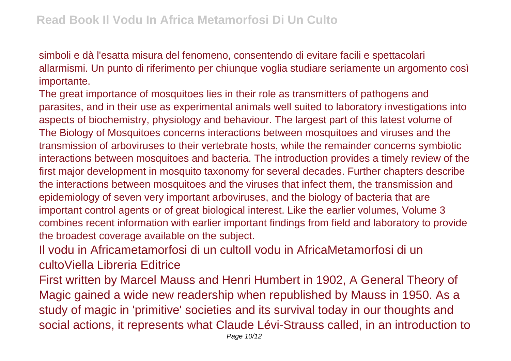simboli e dà l'esatta misura del fenomeno, consentendo di evitare facili e spettacolari allarmismi. Un punto di riferimento per chiunque voglia studiare seriamente un argomento così importante.

The great importance of mosquitoes lies in their role as transmitters of pathogens and parasites, and in their use as experimental animals well suited to laboratory investigations into aspects of biochemistry, physiology and behaviour. The largest part of this latest volume of The Biology of Mosquitoes concerns interactions between mosquitoes and viruses and the transmission of arboviruses to their vertebrate hosts, while the remainder concerns symbiotic interactions between mosquitoes and bacteria. The introduction provides a timely review of the first major development in mosquito taxonomy for several decades. Further chapters describe the interactions between mosquitoes and the viruses that infect them, the transmission and epidemiology of seven very important arboviruses, and the biology of bacteria that are important control agents or of great biological interest. Like the earlier volumes, Volume 3 combines recent information with earlier important findings from field and laboratory to provide the broadest coverage available on the subject.

Il vodu in Africametamorfosi di un cultoIl vodu in AfricaMetamorfosi di un cultoViella Libreria Editrice

First written by Marcel Mauss and Henri Humbert in 1902, A General Theory of Magic gained a wide new readership when republished by Mauss in 1950. As a study of magic in 'primitive' societies and its survival today in our thoughts and social actions, it represents what Claude Lévi-Strauss called, in an introduction to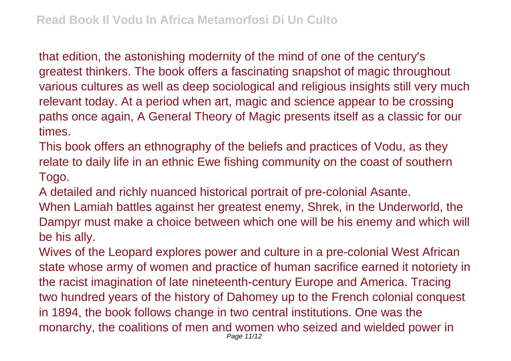that edition, the astonishing modernity of the mind of one of the century's greatest thinkers. The book offers a fascinating snapshot of magic throughout various cultures as well as deep sociological and religious insights still very much relevant today. At a period when art, magic and science appear to be crossing paths once again, A General Theory of Magic presents itself as a classic for our times.

This book offers an ethnography of the beliefs and practices of Vodu, as they relate to daily life in an ethnic Ewe fishing community on the coast of southern Togo.

A detailed and richly nuanced historical portrait of pre-colonial Asante.

When Lamiah battles against her greatest enemy, Shrek, in the Underworld, the Dampyr must make a choice between which one will be his enemy and which will be his ally.

Wives of the Leopard explores power and culture in a pre-colonial West African state whose army of women and practice of human sacrifice earned it notoriety in the racist imagination of late nineteenth-century Europe and America. Tracing two hundred years of the history of Dahomey up to the French colonial conquest in 1894, the book follows change in two central institutions. One was the monarchy, the coalitions of men and women who seized and wielded power in Page 11/12